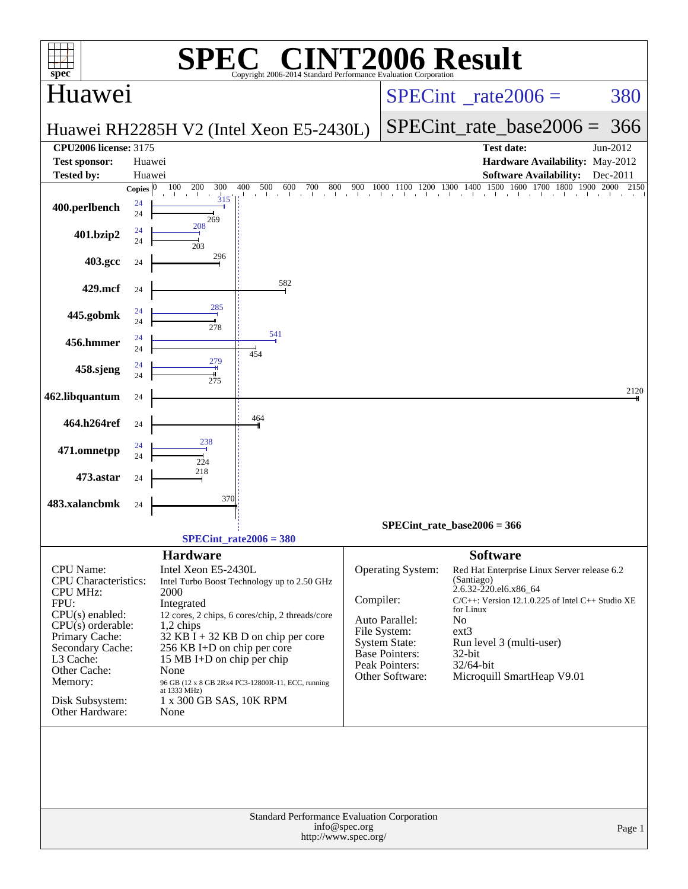| $\mathbf{spec}^*$                                                                                                                                                                                                                   | SPE                                                                                                                                                                                                                                                                                                                                                                                              | $\bigcap$<br>Copyright 2006-2014 Standard Performance Evaluation Cornoration         |                                                                                                                                                        | <b>INT2006 Result</b>                                                                                                                                                                                                                                                          |                          |
|-------------------------------------------------------------------------------------------------------------------------------------------------------------------------------------------------------------------------------------|--------------------------------------------------------------------------------------------------------------------------------------------------------------------------------------------------------------------------------------------------------------------------------------------------------------------------------------------------------------------------------------------------|--------------------------------------------------------------------------------------|--------------------------------------------------------------------------------------------------------------------------------------------------------|--------------------------------------------------------------------------------------------------------------------------------------------------------------------------------------------------------------------------------------------------------------------------------|--------------------------|
| Huawei                                                                                                                                                                                                                              |                                                                                                                                                                                                                                                                                                                                                                                                  |                                                                                      |                                                                                                                                                        | $SPECint^{\circ}$ rate $2006 =$                                                                                                                                                                                                                                                | 380                      |
|                                                                                                                                                                                                                                     | Huawei RH2285H V2 (Intel Xeon E5-2430L)                                                                                                                                                                                                                                                                                                                                                          |                                                                                      |                                                                                                                                                        | $SPECint_rate_base2006 =$                                                                                                                                                                                                                                                      | 366                      |
| <b>CPU2006 license: 3175</b>                                                                                                                                                                                                        |                                                                                                                                                                                                                                                                                                                                                                                                  |                                                                                      |                                                                                                                                                        | <b>Test date:</b>                                                                                                                                                                                                                                                              | Jun-2012                 |
| <b>Test sponsor:</b>                                                                                                                                                                                                                | Huawei                                                                                                                                                                                                                                                                                                                                                                                           |                                                                                      |                                                                                                                                                        | Hardware Availability: May-2012                                                                                                                                                                                                                                                |                          |
| <b>Tested by:</b>                                                                                                                                                                                                                   | Huawei<br>100<br>200<br>300<br>400<br>500                                                                                                                                                                                                                                                                                                                                                        | 600<br>800<br>900                                                                    |                                                                                                                                                        | <b>Software Availability:</b><br>1900                                                                                                                                                                                                                                          | Dec-2011<br>2000<br>2150 |
| 400.perlbench                                                                                                                                                                                                                       | Copies $ 0 $<br>315<br>24<br>24<br>269                                                                                                                                                                                                                                                                                                                                                           | $\frac{700}{1}$                                                                      |                                                                                                                                                        | $\begin{array}{c ccccc} 1000 & 1100 & 1200 & 1300 & 1400 & 1500 & 1600 & 1700 & 1800 & 1\\ \hline \end{array}$                                                                                                                                                                 |                          |
| 401.bzip2                                                                                                                                                                                                                           | 208<br>24<br>24<br>203                                                                                                                                                                                                                                                                                                                                                                           |                                                                                      |                                                                                                                                                        |                                                                                                                                                                                                                                                                                |                          |
| 403.gcc                                                                                                                                                                                                                             | 296<br>24                                                                                                                                                                                                                                                                                                                                                                                        |                                                                                      |                                                                                                                                                        |                                                                                                                                                                                                                                                                                |                          |
| 429.mcf                                                                                                                                                                                                                             | 24                                                                                                                                                                                                                                                                                                                                                                                               | 582                                                                                  |                                                                                                                                                        |                                                                                                                                                                                                                                                                                |                          |
| 445.gobmk                                                                                                                                                                                                                           | 285<br>24<br>24<br>278                                                                                                                                                                                                                                                                                                                                                                           |                                                                                      |                                                                                                                                                        |                                                                                                                                                                                                                                                                                |                          |
| 456.hmmer                                                                                                                                                                                                                           | 24<br>24<br>454                                                                                                                                                                                                                                                                                                                                                                                  | 541                                                                                  |                                                                                                                                                        |                                                                                                                                                                                                                                                                                |                          |
| 458.sjeng                                                                                                                                                                                                                           | 279<br>24<br>24<br>275                                                                                                                                                                                                                                                                                                                                                                           |                                                                                      |                                                                                                                                                        |                                                                                                                                                                                                                                                                                |                          |
| 462.libquantum                                                                                                                                                                                                                      | 24                                                                                                                                                                                                                                                                                                                                                                                               |                                                                                      |                                                                                                                                                        |                                                                                                                                                                                                                                                                                | 2120                     |
| 464.h264ref                                                                                                                                                                                                                         | 464<br>24<br>238                                                                                                                                                                                                                                                                                                                                                                                 |                                                                                      |                                                                                                                                                        |                                                                                                                                                                                                                                                                                |                          |
| 471.omnetpp                                                                                                                                                                                                                         | 24<br>24<br>224<br>218                                                                                                                                                                                                                                                                                                                                                                           |                                                                                      |                                                                                                                                                        |                                                                                                                                                                                                                                                                                |                          |
| 473.astar                                                                                                                                                                                                                           | 24<br>370                                                                                                                                                                                                                                                                                                                                                                                        |                                                                                      |                                                                                                                                                        |                                                                                                                                                                                                                                                                                |                          |
| 483.xalancbmk                                                                                                                                                                                                                       | 24                                                                                                                                                                                                                                                                                                                                                                                               |                                                                                      |                                                                                                                                                        | $SPECint_rate_base2006 = 366$                                                                                                                                                                                                                                                  |                          |
|                                                                                                                                                                                                                                     | $SPECint_rate2006 = 380$                                                                                                                                                                                                                                                                                                                                                                         |                                                                                      |                                                                                                                                                        |                                                                                                                                                                                                                                                                                |                          |
| CPU Name:<br><b>CPU</b> Characteristics:<br><b>CPU MHz:</b><br>FPU:<br>$CPU(s)$ enabled:<br>$CPU(s)$ orderable:<br>Primary Cache:<br>Secondary Cache:<br>L3 Cache:<br>Other Cache:<br>Memory:<br>Disk Subsystem:<br>Other Hardware: | <b>Hardware</b><br>Intel Xeon E5-2430L<br>Intel Turbo Boost Technology up to 2.50 GHz<br>2000<br>Integrated<br>12 cores, 2 chips, 6 cores/chip, 2 threads/core<br>1,2 chips<br>$32$ KB I + 32 KB D on chip per core<br>256 KB I+D on chip per core<br>15 MB I+D on chip per chip<br>None<br>96 GB (12 x 8 GB 2Rx4 PC3-12800R-11, ECC, running<br>at 1333 MHz)<br>1 x 300 GB SAS, 10K RPM<br>None |                                                                                      | Operating System:<br>Compiler:<br>Auto Parallel:<br>File System:<br><b>System State:</b><br><b>Base Pointers:</b><br>Peak Pointers:<br>Other Software: | <b>Software</b><br>Red Hat Enterprise Linux Server release 6.2<br>(Santiago)<br>2.6.32-220.el6.x86 64<br>$C/C++$ : Version 12.1.0.225 of Intel $C++$ Studio XE<br>for Linux<br>No<br>$ext{3}$<br>Run level 3 (multi-user)<br>32-bit<br>32/64-bit<br>Microquill SmartHeap V9.01 |                          |
|                                                                                                                                                                                                                                     |                                                                                                                                                                                                                                                                                                                                                                                                  | Standard Performance Evaluation Corporation<br>info@spec.org<br>http://www.spec.org/ |                                                                                                                                                        |                                                                                                                                                                                                                                                                                | Page 1                   |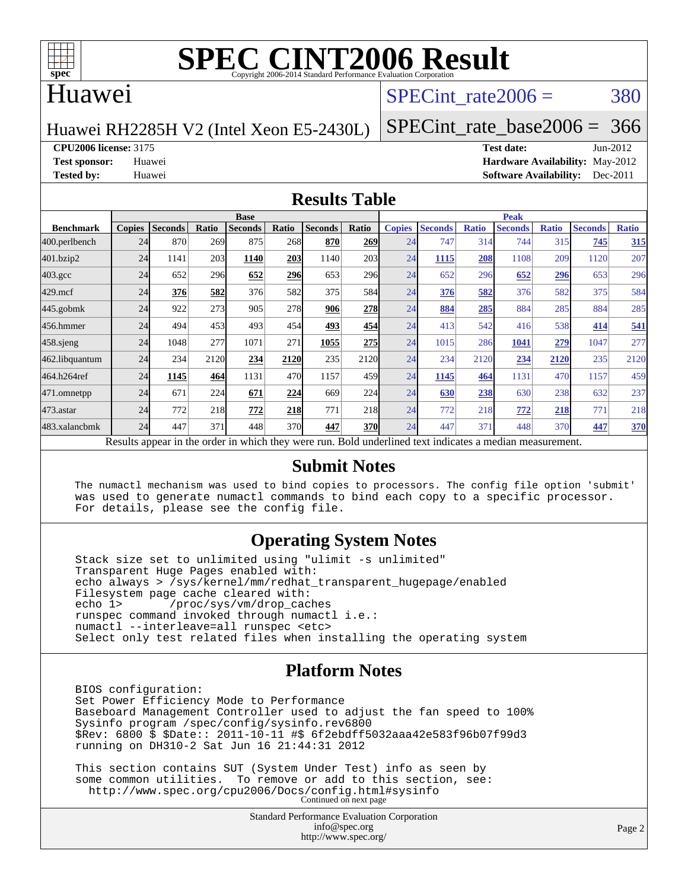

## Huawei

## SPECint rate $2006 = 380$

Huawei RH2285H V2 (Intel Xeon E5-2430L)

[SPECint\\_rate\\_base2006 =](http://www.spec.org/auto/cpu2006/Docs/result-fields.html#SPECintratebase2006) 366

**[CPU2006 license:](http://www.spec.org/auto/cpu2006/Docs/result-fields.html#CPU2006license)** 3175 **[Test date:](http://www.spec.org/auto/cpu2006/Docs/result-fields.html#Testdate)** Jun-2012

**[Test sponsor:](http://www.spec.org/auto/cpu2006/Docs/result-fields.html#Testsponsor)** Huawei **[Hardware Availability:](http://www.spec.org/auto/cpu2006/Docs/result-fields.html#HardwareAvailability)** May-2012 **[Tested by:](http://www.spec.org/auto/cpu2006/Docs/result-fields.html#Testedby)** Huawei **[Software Availability:](http://www.spec.org/auto/cpu2006/Docs/result-fields.html#SoftwareAvailability)** Dec-2011

### **[Results Table](http://www.spec.org/auto/cpu2006/Docs/result-fields.html#ResultsTable)**

|                                                                                                          | <b>Base</b>   |         |       |                |       |                |            | <b>Peak</b>   |                |              |                |              |                |              |
|----------------------------------------------------------------------------------------------------------|---------------|---------|-------|----------------|-------|----------------|------------|---------------|----------------|--------------|----------------|--------------|----------------|--------------|
| <b>Benchmark</b>                                                                                         | <b>Copies</b> | Seconds | Ratio | <b>Seconds</b> | Ratio | <b>Seconds</b> | Ratio      | <b>Copies</b> | <b>Seconds</b> | <b>Ratio</b> | <b>Seconds</b> | <b>Ratio</b> | <b>Seconds</b> | <b>Ratio</b> |
| 400.perlbench                                                                                            | 24            | 870     | 269   | 875            | 268   | 870            | 269        | 24            | 747            | 314          | 744            | 315          | 745            | 315          |
| 401.bzip2                                                                                                | 24            | 1141    | 203   | 1140           | 203   | 1140           | 203        | 24            | 1115           | 208          | 1108           | 209          | 1120           | 207          |
| $403.\mathrm{gcc}$                                                                                       | 24            | 652     | 296   | 652            | 296   | 653            | 296        | 24            | 652            | 296          | 652            | 296          | 653            | 296          |
| $429$ .mcf                                                                                               | 24            | 376     | 582   | 376            | 582   | 375            | 584        | 24            | 376            | 582          | 376            | 582          | 375            | 584          |
| $445$ .gobmk                                                                                             | 24            | 922     | 273   | 905            | 278   | 906            | 278        | 24            | 884            | 285          | 884            | 285          | 884            | 285          |
| 456.hmmer                                                                                                | 24            | 494     | 453   | 493            | 454   | 493            | 454        | 24            | 413            | 542          | 416            | 538          | 414            | 541          |
| $458$ .sjeng                                                                                             | 24            | 1048    | 277   | 1071           | 271   | 1055           | 275        | 24            | 1015           | 286          | 1041           | 279          | 1047           | 277          |
| 462.libquantum                                                                                           | 24            | 234     | 2120  | 234            | 2120  | 235            | 2120       | 24            | 234            | 2120         | 234            | 2120         | 235            | 2120         |
| 464.h264ref                                                                                              | 24            | 1145    | 464   | 1131           | 470   | 1157           | 459        | 24            | 1145           | 464          | 1131           | 470          | 1157           | 459          |
| 471.omnetpp                                                                                              | 24            | 671     | 224   | 671            | 224   | 669            | 224        | 24            | 630            | 238          | 630            | 238          | 632            | 237          |
| 473.astar                                                                                                | 24            | 772     | 218   | 772            | 218   | 771            | 218        | 24            | 772            | 218          | 772            | 218          | 771            | 218          |
| 483.xalancbmk                                                                                            | 24            | 447     | 371   | 448            | 370   | 447            | <b>370</b> | 24            | 447            | 371          | 448            | 370          | 447            | 370          |
| Results appear in the order in which they were run. Bold underlined text indicates a median measurement. |               |         |       |                |       |                |            |               |                |              |                |              |                |              |

### **[Submit Notes](http://www.spec.org/auto/cpu2006/Docs/result-fields.html#SubmitNotes)**

 The numactl mechanism was used to bind copies to processors. The config file option 'submit' was used to generate numactl commands to bind each copy to a specific processor. For details, please see the config file.

### **[Operating System Notes](http://www.spec.org/auto/cpu2006/Docs/result-fields.html#OperatingSystemNotes)**

 Stack size set to unlimited using "ulimit -s unlimited" Transparent Huge Pages enabled with: echo always > /sys/kernel/mm/redhat\_transparent\_hugepage/enabled Filesystem page cache cleared with:<br>echo 1> /proc/sys/vm/drop cac /proc/sys/vm/drop\_caches runspec command invoked through numactl i.e.: numactl --interleave=all runspec <etc> Select only test related files when installing the operating system

### **[Platform Notes](http://www.spec.org/auto/cpu2006/Docs/result-fields.html#PlatformNotes)**

 BIOS configuration: Set Power Efficiency Mode to Performance Baseboard Management Controller used to adjust the fan speed to 100% Sysinfo program /spec/config/sysinfo.rev6800 \$Rev: 6800 \$ \$Date:: 2011-10-11 #\$ 6f2ebdff5032aaa42e583f96b07f99d3 running on DH310-2 Sat Jun 16 21:44:31 2012

 This section contains SUT (System Under Test) info as seen by some common utilities. To remove or add to this section, see: <http://www.spec.org/cpu2006/Docs/config.html#sysinfo> Continued on next page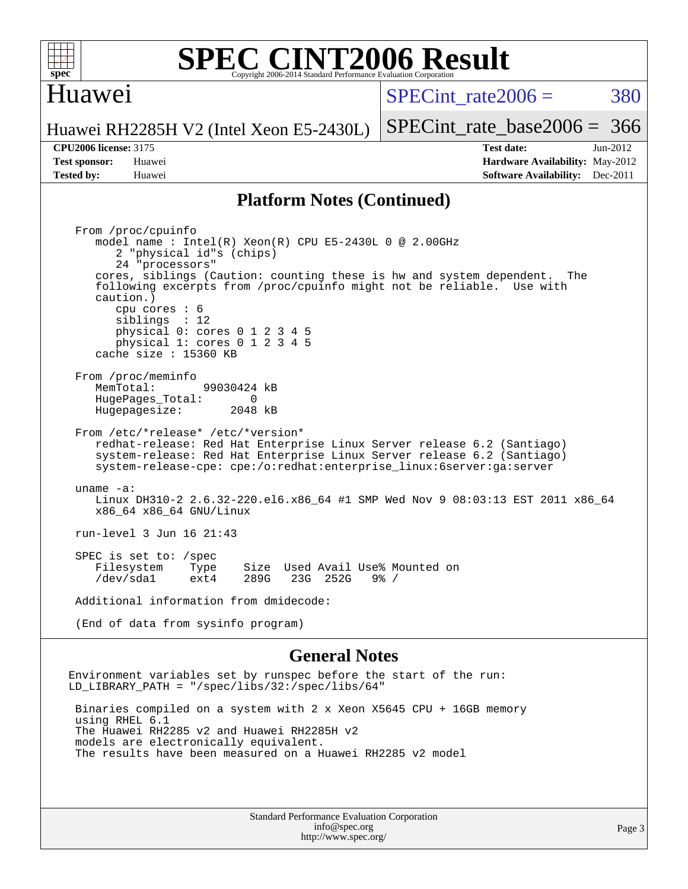

## Huawei

 $SPECint rate2006 = 380$ 

[SPECint\\_rate\\_base2006 =](http://www.spec.org/auto/cpu2006/Docs/result-fields.html#SPECintratebase2006) 366

Huawei RH2285H V2 (Intel Xeon E5-2430L)

**[CPU2006 license:](http://www.spec.org/auto/cpu2006/Docs/result-fields.html#CPU2006license)** 3175 **[Test date:](http://www.spec.org/auto/cpu2006/Docs/result-fields.html#Testdate)** Jun-2012 **[Test sponsor:](http://www.spec.org/auto/cpu2006/Docs/result-fields.html#Testsponsor)** Huawei **[Hardware Availability:](http://www.spec.org/auto/cpu2006/Docs/result-fields.html#HardwareAvailability)** May-2012 **[Tested by:](http://www.spec.org/auto/cpu2006/Docs/result-fields.html#Testedby)** Huawei **[Software Availability:](http://www.spec.org/auto/cpu2006/Docs/result-fields.html#SoftwareAvailability)** Dec-2011

### **[Platform Notes \(Continued\)](http://www.spec.org/auto/cpu2006/Docs/result-fields.html#PlatformNotes)**

 From /proc/cpuinfo model name : Intel(R) Xeon(R) CPU E5-2430L 0 @ 2.00GHz 2 "physical id"s (chips) 24 "processors" cores, siblings (Caution: counting these is hw and system dependent. The following excerpts from /proc/cpuinfo might not be reliable. Use with caution.) cpu cores : 6 siblings : 12 physical 0: cores 0 1 2 3 4 5 physical 1: cores 0 1 2 3 4 5 cache size : 15360 KB From /proc/meminfo MemTotal: 99030424 kB<br>HugePages Total: 0 HugePages\_Total: 0 Hugepagesize: 2048 kB From /etc/\*release\* /etc/\*version\* redhat-release: Red Hat Enterprise Linux Server release 6.2 (Santiago) system-release: Red Hat Enterprise Linux Server release 6.2 (Santiago) system-release-cpe: cpe:/o:redhat:enterprise\_linux:6server:ga:server uname -a: Linux DH310-2 2.6.32-220.el6.x86\_64 #1 SMP Wed Nov 9 08:03:13 EST 2011 x86\_64 x86\_64 x86\_64 GNU/Linux run-level 3 Jun 16 21:43 SPEC is set to: /spec Filesystem Type Size Used Avail Use% Mounted on<br>
/dev/sdal ext4 289G 23G 252G 9% / /dev/sda1 ext4 289G 23G 252G Additional information from dmidecode: (End of data from sysinfo program)

#### **[General Notes](http://www.spec.org/auto/cpu2006/Docs/result-fields.html#GeneralNotes)**

Environment variables set by runspec before the start of the run: LD\_LIBRARY\_PATH = "/spec/libs/32:/spec/libs/64"

 Binaries compiled on a system with 2 x Xeon X5645 CPU + 16GB memory using RHEL 6.1 The Huawei RH2285 v2 and Huawei RH2285H v2 models are electronically equivalent. The results have been measured on a Huawei RH2285 v2 model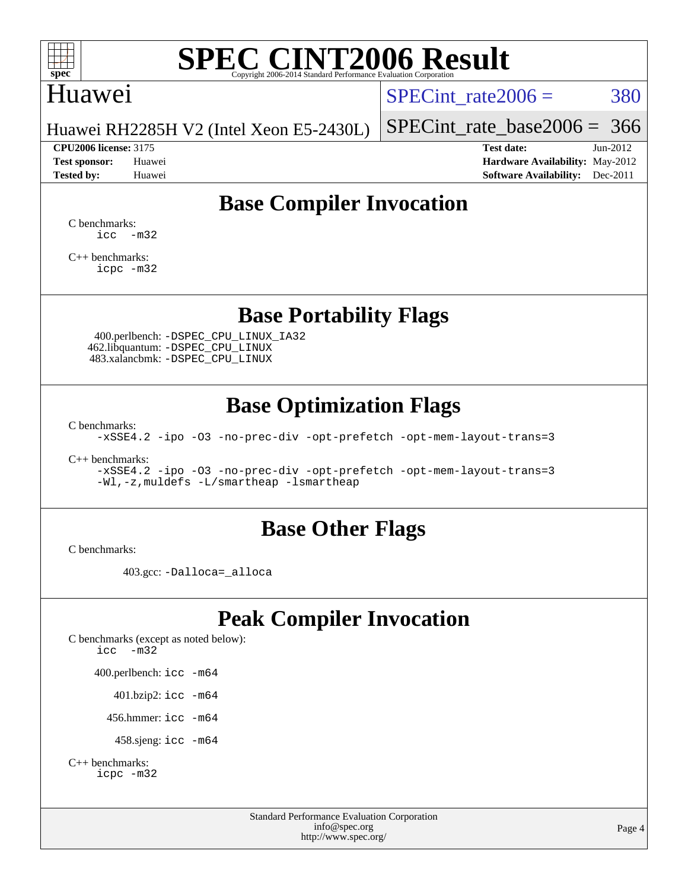

## Huawei

SPECint rate $2006 = 380$ 

Huawei RH2285H V2 (Intel Xeon E5-2430L)

**[Tested by:](http://www.spec.org/auto/cpu2006/Docs/result-fields.html#Testedby)** Huawei **[Software Availability:](http://www.spec.org/auto/cpu2006/Docs/result-fields.html#SoftwareAvailability)** Dec-2011

[SPECint\\_rate\\_base2006 =](http://www.spec.org/auto/cpu2006/Docs/result-fields.html#SPECintratebase2006) 366 **[CPU2006 license:](http://www.spec.org/auto/cpu2006/Docs/result-fields.html#CPU2006license)** 3175 **[Test date:](http://www.spec.org/auto/cpu2006/Docs/result-fields.html#Testdate)** Jun-2012 **[Test sponsor:](http://www.spec.org/auto/cpu2006/Docs/result-fields.html#Testsponsor)** Huawei **[Hardware Availability:](http://www.spec.org/auto/cpu2006/Docs/result-fields.html#HardwareAvailability)** May-2012

# **[Base Compiler Invocation](http://www.spec.org/auto/cpu2006/Docs/result-fields.html#BaseCompilerInvocation)**

[C benchmarks](http://www.spec.org/auto/cpu2006/Docs/result-fields.html#Cbenchmarks):  $\text{icc}$   $-\text{m32}$ 

[C++ benchmarks:](http://www.spec.org/auto/cpu2006/Docs/result-fields.html#CXXbenchmarks) [icpc -m32](http://www.spec.org/cpu2006/results/res2014q3/cpu2006-20140628-30061.flags.html#user_CXXbase_intel_icpc_4e5a5ef1a53fd332b3c49e69c3330699)

**[Base Portability Flags](http://www.spec.org/auto/cpu2006/Docs/result-fields.html#BasePortabilityFlags)**

 400.perlbench: [-DSPEC\\_CPU\\_LINUX\\_IA32](http://www.spec.org/cpu2006/results/res2014q3/cpu2006-20140628-30061.flags.html#b400.perlbench_baseCPORTABILITY_DSPEC_CPU_LINUX_IA32) 462.libquantum: [-DSPEC\\_CPU\\_LINUX](http://www.spec.org/cpu2006/results/res2014q3/cpu2006-20140628-30061.flags.html#b462.libquantum_baseCPORTABILITY_DSPEC_CPU_LINUX) 483.xalancbmk: [-DSPEC\\_CPU\\_LINUX](http://www.spec.org/cpu2006/results/res2014q3/cpu2006-20140628-30061.flags.html#b483.xalancbmk_baseCXXPORTABILITY_DSPEC_CPU_LINUX)

# **[Base Optimization Flags](http://www.spec.org/auto/cpu2006/Docs/result-fields.html#BaseOptimizationFlags)**

[C benchmarks](http://www.spec.org/auto/cpu2006/Docs/result-fields.html#Cbenchmarks):

[-xSSE4.2](http://www.spec.org/cpu2006/results/res2014q3/cpu2006-20140628-30061.flags.html#user_CCbase_f-xSSE42_f91528193cf0b216347adb8b939d4107) [-ipo](http://www.spec.org/cpu2006/results/res2014q3/cpu2006-20140628-30061.flags.html#user_CCbase_f-ipo) [-O3](http://www.spec.org/cpu2006/results/res2014q3/cpu2006-20140628-30061.flags.html#user_CCbase_f-O3) [-no-prec-div](http://www.spec.org/cpu2006/results/res2014q3/cpu2006-20140628-30061.flags.html#user_CCbase_f-no-prec-div) [-opt-prefetch](http://www.spec.org/cpu2006/results/res2014q3/cpu2006-20140628-30061.flags.html#user_CCbase_f-opt-prefetch) [-opt-mem-layout-trans=3](http://www.spec.org/cpu2006/results/res2014q3/cpu2006-20140628-30061.flags.html#user_CCbase_f-opt-mem-layout-trans_a7b82ad4bd7abf52556d4961a2ae94d5)

[C++ benchmarks:](http://www.spec.org/auto/cpu2006/Docs/result-fields.html#CXXbenchmarks)

[-xSSE4.2](http://www.spec.org/cpu2006/results/res2014q3/cpu2006-20140628-30061.flags.html#user_CXXbase_f-xSSE42_f91528193cf0b216347adb8b939d4107) [-ipo](http://www.spec.org/cpu2006/results/res2014q3/cpu2006-20140628-30061.flags.html#user_CXXbase_f-ipo) [-O3](http://www.spec.org/cpu2006/results/res2014q3/cpu2006-20140628-30061.flags.html#user_CXXbase_f-O3) [-no-prec-div](http://www.spec.org/cpu2006/results/res2014q3/cpu2006-20140628-30061.flags.html#user_CXXbase_f-no-prec-div) [-opt-prefetch](http://www.spec.org/cpu2006/results/res2014q3/cpu2006-20140628-30061.flags.html#user_CXXbase_f-opt-prefetch) [-opt-mem-layout-trans=3](http://www.spec.org/cpu2006/results/res2014q3/cpu2006-20140628-30061.flags.html#user_CXXbase_f-opt-mem-layout-trans_a7b82ad4bd7abf52556d4961a2ae94d5) [-Wl,-z,muldefs](http://www.spec.org/cpu2006/results/res2014q3/cpu2006-20140628-30061.flags.html#user_CXXbase_link_force_multiple1_74079c344b956b9658436fd1b6dd3a8a) [-L/smartheap -lsmartheap](http://www.spec.org/cpu2006/results/res2014q3/cpu2006-20140628-30061.flags.html#user_CXXbase_SmartHeap_7c9e394a5779e1a7fec7c221e123830c)

## **[Base Other Flags](http://www.spec.org/auto/cpu2006/Docs/result-fields.html#BaseOtherFlags)**

[C benchmarks](http://www.spec.org/auto/cpu2006/Docs/result-fields.html#Cbenchmarks):

403.gcc: [-Dalloca=\\_alloca](http://www.spec.org/cpu2006/results/res2014q3/cpu2006-20140628-30061.flags.html#b403.gcc_baseEXTRA_CFLAGS_Dalloca_be3056838c12de2578596ca5467af7f3)

# **[Peak Compiler Invocation](http://www.spec.org/auto/cpu2006/Docs/result-fields.html#PeakCompilerInvocation)**

[C benchmarks \(except as noted below\)](http://www.spec.org/auto/cpu2006/Docs/result-fields.html#Cbenchmarksexceptasnotedbelow): [icc -m32](http://www.spec.org/cpu2006/results/res2014q3/cpu2006-20140628-30061.flags.html#user_CCpeak_intel_icc_5ff4a39e364c98233615fdd38438c6f2) 400.perlbench: [icc -m64](http://www.spec.org/cpu2006/results/res2014q3/cpu2006-20140628-30061.flags.html#user_peakCCLD400_perlbench_intel_icc_64bit_bda6cc9af1fdbb0edc3795bac97ada53) 401.bzip2: [icc -m64](http://www.spec.org/cpu2006/results/res2014q3/cpu2006-20140628-30061.flags.html#user_peakCCLD401_bzip2_intel_icc_64bit_bda6cc9af1fdbb0edc3795bac97ada53)

456.hmmer: [icc -m64](http://www.spec.org/cpu2006/results/res2014q3/cpu2006-20140628-30061.flags.html#user_peakCCLD456_hmmer_intel_icc_64bit_bda6cc9af1fdbb0edc3795bac97ada53)

458.sjeng: [icc -m64](http://www.spec.org/cpu2006/results/res2014q3/cpu2006-20140628-30061.flags.html#user_peakCCLD458_sjeng_intel_icc_64bit_bda6cc9af1fdbb0edc3795bac97ada53)

```
C++ benchmarks: 
    icpc -m32
```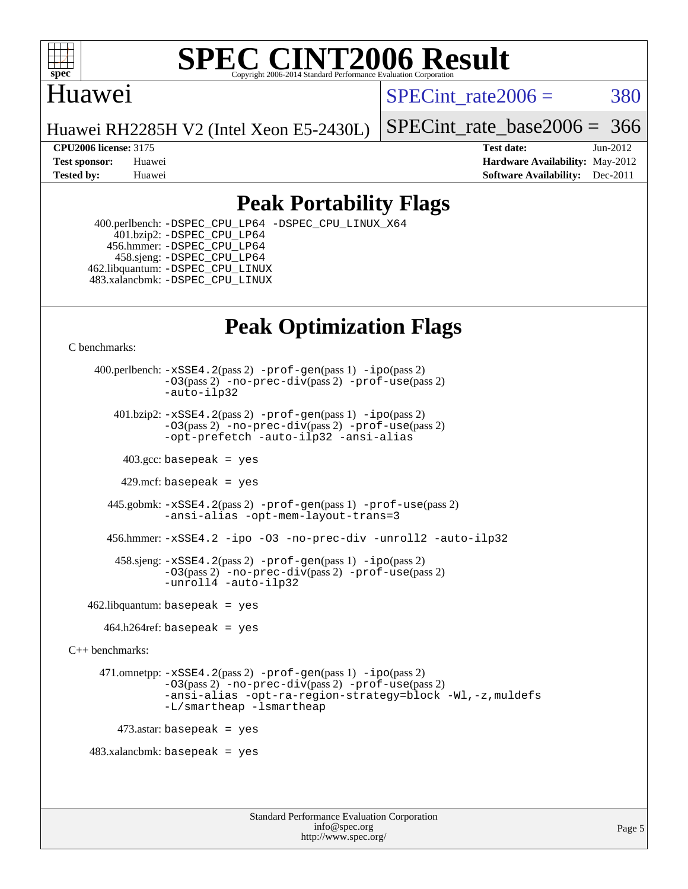

# Huawei

SPECint rate $2006 = 380$ 

Huawei RH2285H V2 (Intel Xeon E5-2430L)

[SPECint\\_rate\\_base2006 =](http://www.spec.org/auto/cpu2006/Docs/result-fields.html#SPECintratebase2006) 366

**[CPU2006 license:](http://www.spec.org/auto/cpu2006/Docs/result-fields.html#CPU2006license)** 3175 **[Test date:](http://www.spec.org/auto/cpu2006/Docs/result-fields.html#Testdate)** Jun-2012 **[Test sponsor:](http://www.spec.org/auto/cpu2006/Docs/result-fields.html#Testsponsor)** Huawei **[Hardware Availability:](http://www.spec.org/auto/cpu2006/Docs/result-fields.html#HardwareAvailability)** May-2012 **[Tested by:](http://www.spec.org/auto/cpu2006/Docs/result-fields.html#Testedby)** Huawei **[Software Availability:](http://www.spec.org/auto/cpu2006/Docs/result-fields.html#SoftwareAvailability)** Dec-2011

# **[Peak Portability Flags](http://www.spec.org/auto/cpu2006/Docs/result-fields.html#PeakPortabilityFlags)**

 400.perlbench: [-DSPEC\\_CPU\\_LP64](http://www.spec.org/cpu2006/results/res2014q3/cpu2006-20140628-30061.flags.html#b400.perlbench_peakCPORTABILITY_DSPEC_CPU_LP64) [-DSPEC\\_CPU\\_LINUX\\_X64](http://www.spec.org/cpu2006/results/res2014q3/cpu2006-20140628-30061.flags.html#b400.perlbench_peakCPORTABILITY_DSPEC_CPU_LINUX_X64) 401.bzip2: [-DSPEC\\_CPU\\_LP64](http://www.spec.org/cpu2006/results/res2014q3/cpu2006-20140628-30061.flags.html#suite_peakCPORTABILITY401_bzip2_DSPEC_CPU_LP64) 456.hmmer: [-DSPEC\\_CPU\\_LP64](http://www.spec.org/cpu2006/results/res2014q3/cpu2006-20140628-30061.flags.html#suite_peakCPORTABILITY456_hmmer_DSPEC_CPU_LP64) 458.sjeng: [-DSPEC\\_CPU\\_LP64](http://www.spec.org/cpu2006/results/res2014q3/cpu2006-20140628-30061.flags.html#suite_peakCPORTABILITY458_sjeng_DSPEC_CPU_LP64) 462.libquantum: [-DSPEC\\_CPU\\_LINUX](http://www.spec.org/cpu2006/results/res2014q3/cpu2006-20140628-30061.flags.html#b462.libquantum_peakCPORTABILITY_DSPEC_CPU_LINUX) 483.xalancbmk: [-DSPEC\\_CPU\\_LINUX](http://www.spec.org/cpu2006/results/res2014q3/cpu2006-20140628-30061.flags.html#b483.xalancbmk_peakCXXPORTABILITY_DSPEC_CPU_LINUX)

# **[Peak Optimization Flags](http://www.spec.org/auto/cpu2006/Docs/result-fields.html#PeakOptimizationFlags)**

[C benchmarks](http://www.spec.org/auto/cpu2006/Docs/result-fields.html#Cbenchmarks):

 400.perlbench: [-xSSE4.2](http://www.spec.org/cpu2006/results/res2014q3/cpu2006-20140628-30061.flags.html#user_peakPASS2_CFLAGSPASS2_LDCFLAGS400_perlbench_f-xSSE42_f91528193cf0b216347adb8b939d4107)(pass 2) [-prof-gen](http://www.spec.org/cpu2006/results/res2014q3/cpu2006-20140628-30061.flags.html#user_peakPASS1_CFLAGSPASS1_LDCFLAGS400_perlbench_prof_gen_e43856698f6ca7b7e442dfd80e94a8fc)(pass 1) [-ipo](http://www.spec.org/cpu2006/results/res2014q3/cpu2006-20140628-30061.flags.html#user_peakPASS2_CFLAGSPASS2_LDCFLAGS400_perlbench_f-ipo)(pass 2) [-O3](http://www.spec.org/cpu2006/results/res2014q3/cpu2006-20140628-30061.flags.html#user_peakPASS2_CFLAGSPASS2_LDCFLAGS400_perlbench_f-O3)(pass 2) [-no-prec-div](http://www.spec.org/cpu2006/results/res2014q3/cpu2006-20140628-30061.flags.html#user_peakPASS2_CFLAGSPASS2_LDCFLAGS400_perlbench_f-no-prec-div)(pass 2) [-prof-use](http://www.spec.org/cpu2006/results/res2014q3/cpu2006-20140628-30061.flags.html#user_peakPASS2_CFLAGSPASS2_LDCFLAGS400_perlbench_prof_use_bccf7792157ff70d64e32fe3e1250b55)(pass 2) [-auto-ilp32](http://www.spec.org/cpu2006/results/res2014q3/cpu2006-20140628-30061.flags.html#user_peakCOPTIMIZE400_perlbench_f-auto-ilp32) 401.bzip2: [-xSSE4.2](http://www.spec.org/cpu2006/results/res2014q3/cpu2006-20140628-30061.flags.html#user_peakPASS2_CFLAGSPASS2_LDCFLAGS401_bzip2_f-xSSE42_f91528193cf0b216347adb8b939d4107)(pass 2) [-prof-gen](http://www.spec.org/cpu2006/results/res2014q3/cpu2006-20140628-30061.flags.html#user_peakPASS1_CFLAGSPASS1_LDCFLAGS401_bzip2_prof_gen_e43856698f6ca7b7e442dfd80e94a8fc)(pass 1) [-ipo](http://www.spec.org/cpu2006/results/res2014q3/cpu2006-20140628-30061.flags.html#user_peakPASS2_CFLAGSPASS2_LDCFLAGS401_bzip2_f-ipo)(pass 2) [-O3](http://www.spec.org/cpu2006/results/res2014q3/cpu2006-20140628-30061.flags.html#user_peakPASS2_CFLAGSPASS2_LDCFLAGS401_bzip2_f-O3)(pass 2) [-no-prec-div](http://www.spec.org/cpu2006/results/res2014q3/cpu2006-20140628-30061.flags.html#user_peakPASS2_CFLAGSPASS2_LDCFLAGS401_bzip2_f-no-prec-div)(pass 2) [-prof-use](http://www.spec.org/cpu2006/results/res2014q3/cpu2006-20140628-30061.flags.html#user_peakPASS2_CFLAGSPASS2_LDCFLAGS401_bzip2_prof_use_bccf7792157ff70d64e32fe3e1250b55)(pass 2) [-opt-prefetch](http://www.spec.org/cpu2006/results/res2014q3/cpu2006-20140628-30061.flags.html#user_peakCOPTIMIZE401_bzip2_f-opt-prefetch) [-auto-ilp32](http://www.spec.org/cpu2006/results/res2014q3/cpu2006-20140628-30061.flags.html#user_peakCOPTIMIZE401_bzip2_f-auto-ilp32) [-ansi-alias](http://www.spec.org/cpu2006/results/res2014q3/cpu2006-20140628-30061.flags.html#user_peakCOPTIMIZE401_bzip2_f-ansi-alias)  $403.\text{sec: basepeak}$  = yes 429.mcf: basepeak = yes 445.gobmk: [-xSSE4.2](http://www.spec.org/cpu2006/results/res2014q3/cpu2006-20140628-30061.flags.html#user_peakPASS2_CFLAGSPASS2_LDCFLAGS445_gobmk_f-xSSE42_f91528193cf0b216347adb8b939d4107)(pass 2) [-prof-gen](http://www.spec.org/cpu2006/results/res2014q3/cpu2006-20140628-30061.flags.html#user_peakPASS1_CFLAGSPASS1_LDCFLAGS445_gobmk_prof_gen_e43856698f6ca7b7e442dfd80e94a8fc)(pass 1) [-prof-use](http://www.spec.org/cpu2006/results/res2014q3/cpu2006-20140628-30061.flags.html#user_peakPASS2_CFLAGSPASS2_LDCFLAGS445_gobmk_prof_use_bccf7792157ff70d64e32fe3e1250b55)(pass 2) [-ansi-alias](http://www.spec.org/cpu2006/results/res2014q3/cpu2006-20140628-30061.flags.html#user_peakCOPTIMIZE445_gobmk_f-ansi-alias) [-opt-mem-layout-trans=3](http://www.spec.org/cpu2006/results/res2014q3/cpu2006-20140628-30061.flags.html#user_peakCOPTIMIZE445_gobmk_f-opt-mem-layout-trans_a7b82ad4bd7abf52556d4961a2ae94d5) 456.hmmer: [-xSSE4.2](http://www.spec.org/cpu2006/results/res2014q3/cpu2006-20140628-30061.flags.html#user_peakCOPTIMIZE456_hmmer_f-xSSE42_f91528193cf0b216347adb8b939d4107) [-ipo](http://www.spec.org/cpu2006/results/res2014q3/cpu2006-20140628-30061.flags.html#user_peakCOPTIMIZE456_hmmer_f-ipo) [-O3](http://www.spec.org/cpu2006/results/res2014q3/cpu2006-20140628-30061.flags.html#user_peakCOPTIMIZE456_hmmer_f-O3) [-no-prec-div](http://www.spec.org/cpu2006/results/res2014q3/cpu2006-20140628-30061.flags.html#user_peakCOPTIMIZE456_hmmer_f-no-prec-div) [-unroll2](http://www.spec.org/cpu2006/results/res2014q3/cpu2006-20140628-30061.flags.html#user_peakCOPTIMIZE456_hmmer_f-unroll_784dae83bebfb236979b41d2422d7ec2) [-auto-ilp32](http://www.spec.org/cpu2006/results/res2014q3/cpu2006-20140628-30061.flags.html#user_peakCOPTIMIZE456_hmmer_f-auto-ilp32) 458.sjeng: [-xSSE4.2](http://www.spec.org/cpu2006/results/res2014q3/cpu2006-20140628-30061.flags.html#user_peakPASS2_CFLAGSPASS2_LDCFLAGS458_sjeng_f-xSSE42_f91528193cf0b216347adb8b939d4107)(pass 2) [-prof-gen](http://www.spec.org/cpu2006/results/res2014q3/cpu2006-20140628-30061.flags.html#user_peakPASS1_CFLAGSPASS1_LDCFLAGS458_sjeng_prof_gen_e43856698f6ca7b7e442dfd80e94a8fc)(pass 1) [-ipo](http://www.spec.org/cpu2006/results/res2014q3/cpu2006-20140628-30061.flags.html#user_peakPASS2_CFLAGSPASS2_LDCFLAGS458_sjeng_f-ipo)(pass 2) [-O3](http://www.spec.org/cpu2006/results/res2014q3/cpu2006-20140628-30061.flags.html#user_peakPASS2_CFLAGSPASS2_LDCFLAGS458_sjeng_f-O3)(pass 2) [-no-prec-div](http://www.spec.org/cpu2006/results/res2014q3/cpu2006-20140628-30061.flags.html#user_peakPASS2_CFLAGSPASS2_LDCFLAGS458_sjeng_f-no-prec-div)(pass 2) [-prof-use](http://www.spec.org/cpu2006/results/res2014q3/cpu2006-20140628-30061.flags.html#user_peakPASS2_CFLAGSPASS2_LDCFLAGS458_sjeng_prof_use_bccf7792157ff70d64e32fe3e1250b55)(pass 2) [-unroll4](http://www.spec.org/cpu2006/results/res2014q3/cpu2006-20140628-30061.flags.html#user_peakCOPTIMIZE458_sjeng_f-unroll_4e5e4ed65b7fd20bdcd365bec371b81f) [-auto-ilp32](http://www.spec.org/cpu2006/results/res2014q3/cpu2006-20140628-30061.flags.html#user_peakCOPTIMIZE458_sjeng_f-auto-ilp32)  $462$ .libquantum: basepeak = yes  $464.h264$ ref: basepeak = yes [C++ benchmarks:](http://www.spec.org/auto/cpu2006/Docs/result-fields.html#CXXbenchmarks) 471.omnetpp: [-xSSE4.2](http://www.spec.org/cpu2006/results/res2014q3/cpu2006-20140628-30061.flags.html#user_peakPASS2_CXXFLAGSPASS2_LDCXXFLAGS471_omnetpp_f-xSSE42_f91528193cf0b216347adb8b939d4107)(pass 2) [-prof-gen](http://www.spec.org/cpu2006/results/res2014q3/cpu2006-20140628-30061.flags.html#user_peakPASS1_CXXFLAGSPASS1_LDCXXFLAGS471_omnetpp_prof_gen_e43856698f6ca7b7e442dfd80e94a8fc)(pass 1) [-ipo](http://www.spec.org/cpu2006/results/res2014q3/cpu2006-20140628-30061.flags.html#user_peakPASS2_CXXFLAGSPASS2_LDCXXFLAGS471_omnetpp_f-ipo)(pass 2) [-O3](http://www.spec.org/cpu2006/results/res2014q3/cpu2006-20140628-30061.flags.html#user_peakPASS2_CXXFLAGSPASS2_LDCXXFLAGS471_omnetpp_f-O3)(pass 2) [-no-prec-div](http://www.spec.org/cpu2006/results/res2014q3/cpu2006-20140628-30061.flags.html#user_peakPASS2_CXXFLAGSPASS2_LDCXXFLAGS471_omnetpp_f-no-prec-div)(pass 2) [-prof-use](http://www.spec.org/cpu2006/results/res2014q3/cpu2006-20140628-30061.flags.html#user_peakPASS2_CXXFLAGSPASS2_LDCXXFLAGS471_omnetpp_prof_use_bccf7792157ff70d64e32fe3e1250b55)(pass 2) [-ansi-alias](http://www.spec.org/cpu2006/results/res2014q3/cpu2006-20140628-30061.flags.html#user_peakCXXOPTIMIZE471_omnetpp_f-ansi-alias) [-opt-ra-region-strategy=block](http://www.spec.org/cpu2006/results/res2014q3/cpu2006-20140628-30061.flags.html#user_peakCXXOPTIMIZE471_omnetpp_f-opt-ra-region-strategy_a0a37c372d03933b2a18d4af463c1f69) [-Wl,-z,muldefs](http://www.spec.org/cpu2006/results/res2014q3/cpu2006-20140628-30061.flags.html#user_peakEXTRA_LDFLAGS471_omnetpp_link_force_multiple1_74079c344b956b9658436fd1b6dd3a8a) [-L/smartheap -lsmartheap](http://www.spec.org/cpu2006/results/res2014q3/cpu2006-20140628-30061.flags.html#user_peakEXTRA_LIBS471_omnetpp_SmartHeap_7c9e394a5779e1a7fec7c221e123830c)  $473$ .astar: basepeak = yes 483.xalancbmk: basepeak = yes